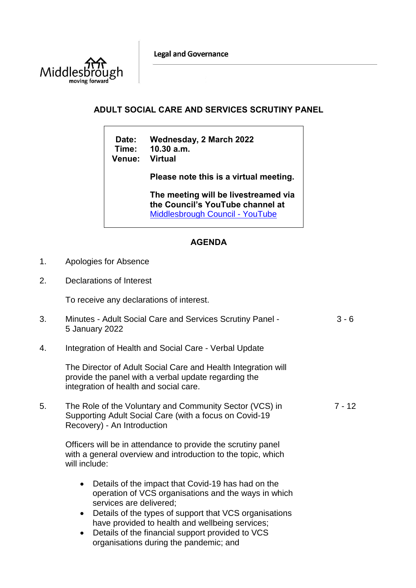**Legal and Governance** 



## **ADULT SOCIAL CARE AND SERVICES SCRUTINY PANEL**

**Date: Wednesday, 2 March 2022 Time: 10.30 a.m. Venue:** 

**Please note this is a virtual meeting.** 

**The meeting will be livestreamed via the Council's YouTube channel at**  [Middlesbrough Council -](https://www.youtube.com/user/middlesbroughcouncil) YouTube

## **AGENDA**

- 1. Apologies for Absence
- 2. Declarations of Interest

To receive any declarations of interest.

| 3. | Minutes - Adult Social Care and Services Scrutiny Panel -<br>5 January 2022                                                                                                                                                                                                  | $3 - 6$  |
|----|------------------------------------------------------------------------------------------------------------------------------------------------------------------------------------------------------------------------------------------------------------------------------|----------|
| 4. | Integration of Health and Social Care - Verbal Update                                                                                                                                                                                                                        |          |
|    | The Director of Adult Social Care and Health Integration will<br>provide the panel with a verbal update regarding the<br>integration of health and social care.                                                                                                              |          |
| 5. | The Role of the Voluntary and Community Sector (VCS) in<br>Supporting Adult Social Care (with a focus on Covid-19<br>Recovery) - An Introduction                                                                                                                             | $7 - 12$ |
|    | Officers will be in attendance to provide the scrutiny panel<br>with a general overview and introduction to the topic, which<br>will include:                                                                                                                                |          |
|    | Details of the impact that Covid-19 has had on the<br>$\bullet$<br>operation of VCS organisations and the ways in which<br>services are delivered;<br>Details of the types of support that VCS organisations<br>$\bullet$<br>have provided to health and wellbeing services; |          |

 Details of the financial support provided to VCS organisations during the pandemic; and